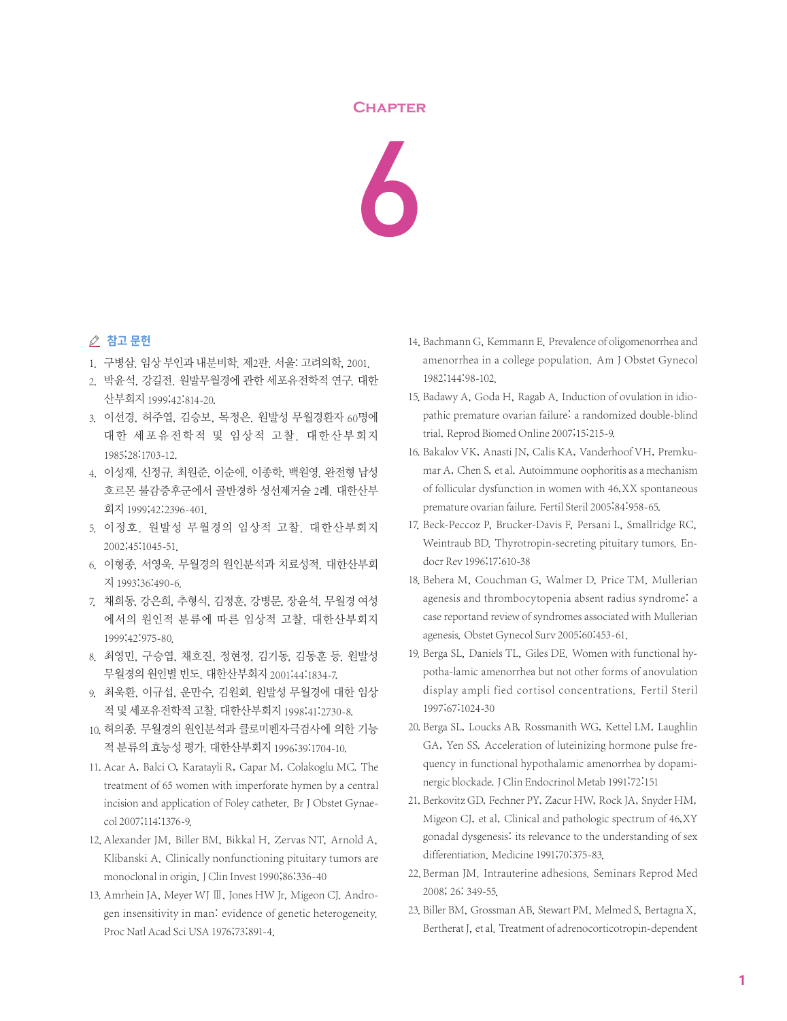## **Chapter**



## ⊘ 참고 문헌

- 1. 구병삼. 임상 부인과 내분비학. 제2판. 서울: 고려의학, 2001.
- 2. 박윤석, 강길전. 원발무월경에 관한 세포유전학적 연구. 대한 산부회지 1999;42:814-20.
- 3. 이선경, 허주엽, 김승보, 목정은. 원발성 무월경환자 60명에 대한 세포유전학적 및 임상적 고찰. 대한산부회지 1985;28:1703-12.
- 4. 이성재, 신정규, 최원준, 이순애, 이종학, 백원영. 완전형 남성 호르몬 불감증후군에서 골반경하 성선제거술 2례. 대한산부 회지 1999;42:2396-401.
- 5. 이정호. 원발성 무월경의 임상적 고찰. 대한산부회지 2002;45:1045-51.
- 6. 이형종, 서영욱. 무월경의 원인분석과 치료성적. 대한산부회 지 1993;36:490-6.
- 7. 채희동, 강은희, 추형식, 김정훈, 강병문, 장윤석. 무월경 여성 에서의 원인적 분류에 따른 임상적 고찰. 대한산부회지 1999;42:975-80.
- 8. 최영민, 구승엽, 채호진, 정현정, 김기동, 김동훈 등. 원발성 무월경의 원인별 빈도. 대한산부회지 2001;44:1834-7.
- 9. 최욱환, 이규섭, 운만수, 김원회. 원발성 무월경에 대한 임상 적 및 세포유전학적 고찰. 대한산부회지 1998;41:2730-8.
- 10.허의종. 무월경의 원인분석과 클로미펜자극검사에 의한 기능 적 분류의 효능성 평가. 대한산부회지 1996;39:1704-10.
- 11. Acar A, Balci O, Karatayli R, Capar M, Colakoglu MC. The treatment of 65 women with imperforate hymen by a central incision and application of Foley catheter. Br J Obstet Gynaecol 2007;114:1376-9.
- 12. Alexander JM, Biller BM, Bikkal H, Zervas NT, Arnold A, Klibanski A. Clinically nonfunctioning pituitary tumors are monoclonal in origin. J Clin Invest 1990;86:336-40
- 13. Amrhein JA, Meyer WJ Ⅲ, Jones HW Jr, Migeon CJ, Androgen insensitivity in man: evidence of genetic heterogeneity. Proc Natl Acad Sci USA 1976;73:891-4.
- 14. Bachmann G, Kemmann E. Prevalence of oligomenorrhea and amenorrhea in a college population. Am J Obstet Gynecol 1982;144:98-102.
- 15. Badawy A, Goda H, Ragab A. Induction of ovulation in idiopathic premature ovarian failure: a randomized double-blind trial. Reprod Biomed Online 2007;15:215-9.
- 16. Bakalov VK, Anasti JN, Calis KA, Vanderhoof VH, Premkumar A, Chen S, et al. Autoimmune oophoritis as a mechanism of follicular dysfunction in women with 46,XX spontaneous premature ovarian failure. Fertil Steril 2005;84:958-65.
- 17. Beck-Peccoz P, Brucker-Davis F, Persani L, Smallridge RC, Weintraub BD. Thyrotropin-secreting pituitary tumors. Endocr Rev 1996;17:610-38
- 18. Behera M, Couchman G, Walmer D, Price TM. Mullerian agenesis and thrombocytopenia absent radius syndrome: a case reportand review of syndromes associated with Mullerian agenesis. Obstet Gynecol Surv 2005;60:453-61.
- 19. Berga SL, Daniels TL, Giles DE. Women with functional hypotha-lamic amenorrhea but not other forms of anovulation display ampli fied cortisol concentrations. Fertil Steril 1997;67:1024-30
- 20. Berga SL, Loucks AB, Rossmanith WG, Kettel LM, Laughlin GA, Yen SS. Acceleration of luteinizing hormone pulse frequency in functional hypothalamic amenorrhea by dopaminergic blockade.J Clin Endocrinol Metab 1991;72:151
- 21. Berkovitz GD, Fechner PY, Zacur HW, Rock JA, Snyder HM, Migeon CJ, et al, Clinical and pathologic spectrum of 46,XY gonadal dysgenesis: its relevance to the understanding of sex differentiation. Medicine 1991;70:375-83.
- 22. Berman JM. Intrauterine adhesions. Seminars Reprod Med 2008; 26: 349-55.
- 23. Biller BM, Grossman AB, Stewart PM, Melmed S, Bertagna X, Bertherat J, et al. Treatment of adrenocorticotropin-dependent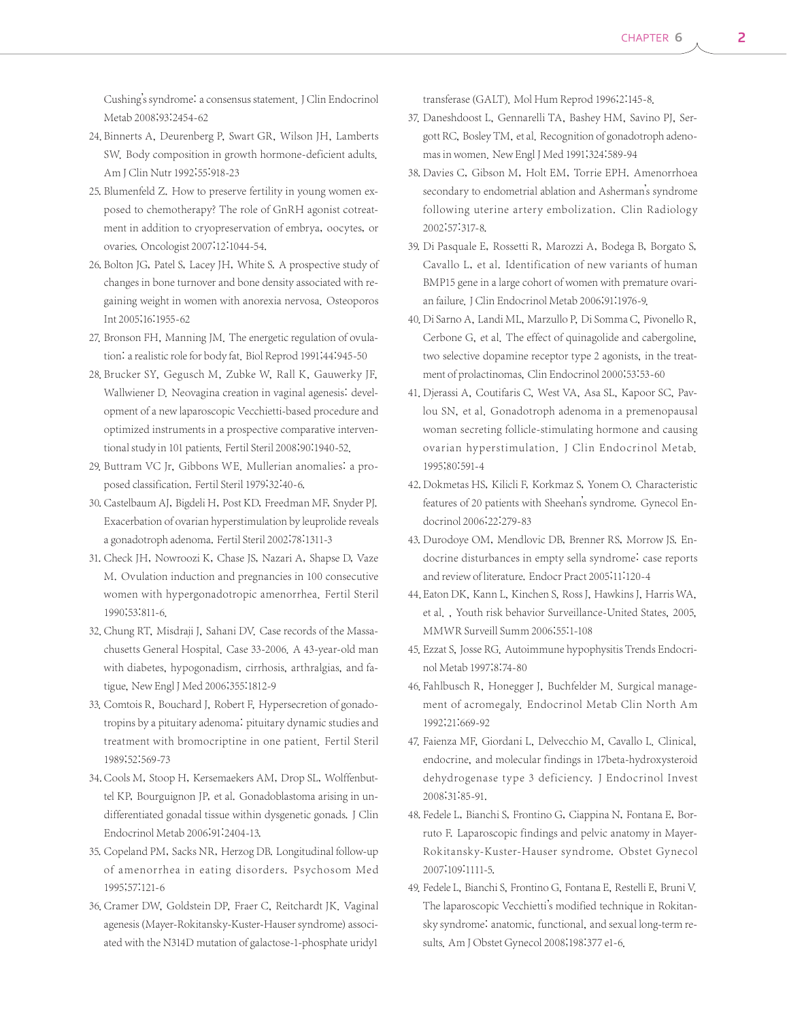Cushing's syndrome: a consensus statement.J Clin Endocrinol Metab 2008;93:2454-62

- 24. Binnerts A, Deurenberg P, Swart GR, Wilson IH, Lamberts SW. Body composition in growth hormone-deficient adults. Am J Clin Nutr 1992;55:918-23
- 25. Blumenfeld Z. How to preserve fertility in young women exposed to chemotherapy? The role of GnRH agonist cotreatment in addition to cryopreservation of embrya, oocytes, or ovaries. Oncologist 2007;12:1044-54.
- 26. Bolton JG, Patel S, Lacey JH, White S. A prospective study of changes in bone turnover and bone density associated with regaining weight in women with anorexia nervosa. Osteoporos Int 2005;16:1955-62
- 27. Bronson FH, Manning JM. The energetic regulation of ovulation: a realistic role for body fat. Biol Reprod 1991;44:945-50
- 28. Brucker SY, Gegusch M, Zubke W, Rall K, Gauwerky JF, Wallwiener D. Neovagina creation in vaginal agenesis: development of a new laparoscopic Vecchietti-based procedure and optimized instruments in a prospective comparative interventional study in 101 patients. Fertil Steril 2008;90:1940-52.
- 29. Buttram VC Jr, Gibbons WE. Mullerian anomalies: a proposed classification. Fertil Steril 1979;32:40-6.
- 30. Castelbaum AJ, Bigdeli H, Post KD, Freedman MF, Snyder PJ. Exacerbation of ovarian hyperstimulation by leuprolide reveals a gonadotroph adenoma. Fertil Steril 2002;78:1311-3
- 31. Check JH, Nowroozi K, Chase JS, Nazari A, Shapse D, Vaze M. Ovulation induction and pregnancies in 100 consecutive women with hypergonadotropic amenorrhea. Fertil Steril 1990;53:811-6.
- 32. Chung RT, Misdraji J, Sahani DV. Case records of the Massachusetts General Hospital. Case 33-2006. A 43-year-old man with diabetes, hypogonadism, cirrhosis, arthralgias, and fatigue, New Engl J Med 2006;355:1812-9
- 33. Comtois R, Bouchard J, Robert F, Hypersecretion of gonadotropins by a pituitary adenoma: pituitary dynamic studies and treatment with bromocriptine in one patient. Fertil Steril 1989;52:569-73
- 34. Cools M, Stoop H, Kersemaekers AM, Drop SL, Wolffenbuttel KP, Bourguignon JP, et al. Gonadoblastoma arising in undifferentiated gonadal tissue within dysgenetic gonads. J Clin Endocrinol Metab 2006;91:2404-13.
- 35. Copeland PM, Sacks NR, Herzog DB. Longitudinal follow-up of amenorrhea in eating disorders. Psychosom Med 1995;57:121-6
- 36. Cramer DW, Goldstein DP, Fraer C, Reitchardt JK. Vaginal agenesis (Mayer-Rokitansky-Kuster-Hauser syndrome) associated with the N314D mutation of galactose-1-phosphate uridy1

transferase (GALT). Mol Hum Reprod 1996;2:145-8.

- 37. Daneshdoost L, Gennarelli TA, Bashey HM, Savino PJ, Sergott RC, Bosley TM, et al. Recognition of gonadotroph adenomas in women. New Engl J Med 1991;324:589-94
- 38. Davies C, Gibson M, Holt EM, Torrie EPH. Amenorrhoea secondary to endometrial ablation and Asherman's syndrome following uterine artery embolization. Clin Radiology 2002;57:317-8.
- 39. Di Pasquale E, Rossetti R, Marozzi A, Bodega B, Borgato S, Cavallo L, et al. Identification of new variants of human BMP15 gene in a large cohort of women with premature ovarian failure. J Clin Endocrinol Metab 2006;91:1976-9.
- 40. Di Sarno A, Landi ML, Marzullo P, Di Somma C, Pivonello R, Cerbone G, et al. The effect of quinagolide and cabergoline, two selective dopamine receptor type 2 agonists, in the treatment of prolactinomas, Clin Endocrinol 2000;53:53-60
- 41. Djerassi A, Coutifaris C, West VA, Asa SL, Kapoor SC, Pavlou SN, et al. Gonadotroph adenoma in a premenopausal woman secreting follicle-stimulating hormone and causing ovarian hyperstimulation. J Clin Endocrinol Metab. 1995;80:591-4
- 42. Dokmetas HS, Kilicli F, Korkmaz S, Yonem O. Characteristic features of 20 patients with Sheehan's syndrome. Gynecol Endocrinol 2006;22:279-83
- 43. Durodoye OM, Mendlovic DB, Brenner RS, Morrow JS. Endocrine disturbances in empty sella syndrome: case reports and review of literature. Endocr Pract 2005;11:120-4
- 44. Eaton DK, Kann L, Kinchen S, Ross J, Hawkins J, Harris WA, et al. , Youth risk behavior Surveillance-United States, 2005, MMWR Surveill Summ 2006;55:1-108
- 45. Ezzat S, Josse RG. Autoimmune hypophysitis Trends Endocrinol Metab 1997;8:74-80
- 46. Fahlbusch R, Honegger J, Buchfelder M. Surgical management of acromegaly. Endocrinol Metab Clin North Am 1992;21:669-92
- 47. Faienza MF, Giordani L, Delvecchio M, Cavallo L, Clinical, endocrine, and molecular findings in 17beta-hydroxysteroid dehydrogenase type 3 deficiency. J Endocrinol Invest 2008;31:85-91.
- 48. Fedele L, Bianchi S, Frontino G, Ciappina N, Fontana E, Borruto F. Laparoscopic findings and pelvic anatomy in Mayer-Rokitansky-Kuster-Hauser syndrome. Obstet Gynecol 2007;109:1111-5.
- 49. Fedele L, Bianchi S, Frontino G, Fontana E, Restelli E, Bruni V. The laparoscopic Vecchietti's modified technique in Rokitansky syndrome: anatomic, functional, and sexual long-term results. Am J Obstet Gynecol 2008;198:377 e1-6.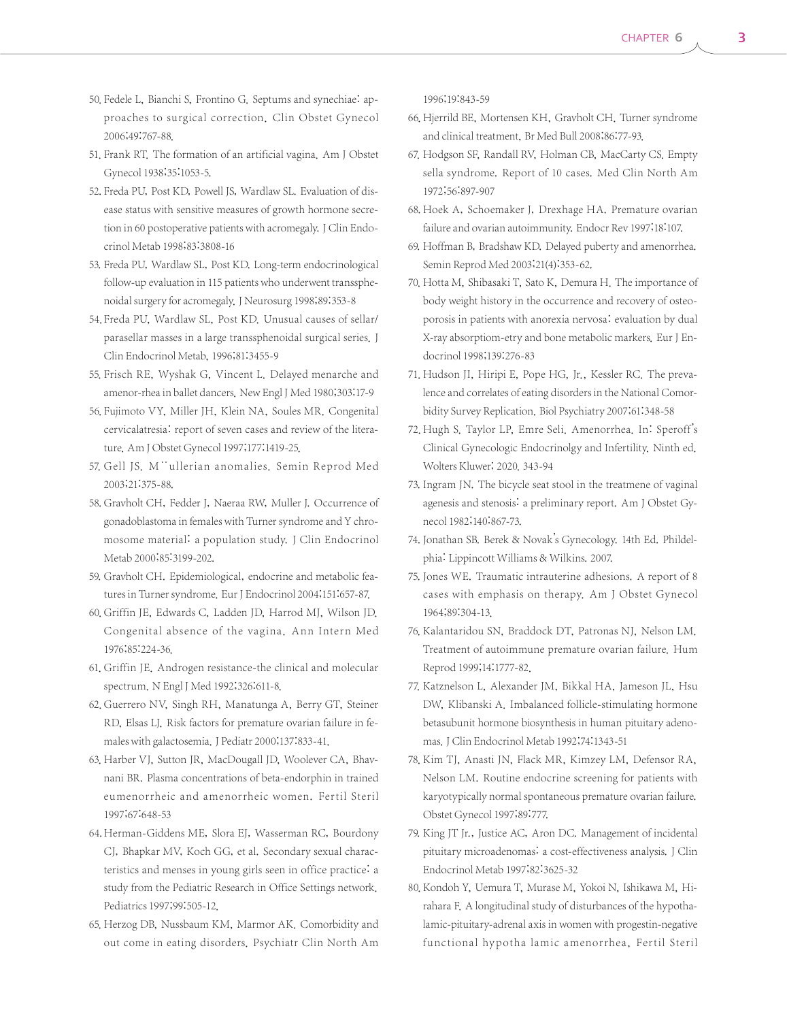- 50. Fedele L, Bianchi S, Frontino G. Septums and synechiae: approaches to surgical correction. Clin Obstet Gynecol 2006;49:767-88.
- 51. Frank RT. The formation of an artificial vagina. Am J Obstet Gynecol 1938;35:1053-5.
- 52. Freda PU, Post KD, Powell JS, Wardlaw SL, Evaluation of disease status with sensitive measures of growth hormone secretion in 60 postoperative patients with acromegaly. J Clin Endocrinol Metab 1998;83:3808-16
- 53. Freda PU, Wardlaw SL, Post KD. Long-term endocrinological follow-up evaluation in 115 patients who underwent transsphenoidal surgery for acromegaly. J Neurosurg 1998;89:353-8
- 54. Freda PU, Wardlaw SL, Post KD. Unusual causes of sellar/ parasellar masses in a large transsphenoidal surgical series. J Clin Endocrinol Metab, 1996;81:3455-9
- 55. Frisch RE, Wyshak G, Vincent L. Delayed menarche and amenor-rhea in ballet dancers. New Engl J Med 1980;303:17-9
- 56. Fujimoto VY, Miller JH, Klein NA, Soules MR. Congenital cervicalatresia: report of seven cases and review of the literature. Am J Obstet Gynecol 1997;177:1419-25.
- 57. Gell JS. M "ullerian anomalies. Semin Reprod Med 2003;21:375-88.
- 58. Gravholt CH, Fedder J, Naeraa RW, Muller J. Occurrence of gonadoblastoma in females with Turner syndrome and Y chromosome material: a population study. J Clin Endocrinol Metab 2000;85:3199-202.
- 59. Gravholt CH. Epidemiological, endocrine and metabolic features in Turner syndrome. Eur J Endocrinol 2004;151:657-87.
- 60. Griffin JE, Edwards C, Ladden JD, Harrod MJ, Wilson JD. Congenital absence of the vagina. Ann Intern Med 1976;85:224-36.
- 61. Griffin JE. Androgen resistance-the clinical and molecular spectrum. N Engl J Med 1992;326:611-8.
- 62. Guerrero NV, Singh RH, Manatunga A, Berry GT, Steiner RD, Elsas LJ. Risk factors for premature ovarian failure in females with galactosemia. J Pediatr 2000;137:833-41.
- 63. Harber VJ, Sutton JR, MacDougall JD, Woolever CA, Bhavnani BR. Plasma concentrations of beta-endorphin in trained eumenorrheic and amenorrheic women. Fertil Steril 1997;67:648-53
- 64. Herman-Giddens ME, Slora EJ, Wasserman RC, Bourdony CJ, Bhapkar MV, Koch GG, et al. Secondary sexual characteristics and menses in young girls seen in office practice: a study from the Pediatric Research in Office Settings network. Pediatrics 1997;99:505-12.
- 65. Herzog DB, Nussbaum KM, Marmor AK. Comorbidity and out come in eating disorders. Psychiatr Clin North Am

1996;19:843-59

- 66. Hjerrild BE, Mortensen KH, Gravholt CH. Turner syndrome and clinical treatment, Br Med Bull 2008;86:77-93.
- 67. Hodgson SF, Randall RV, Holman CB, MacCarty CS, Empty sella syndrome. Report of 10 cases. Med Clin North Am 1972;56:897-907
- 68. Hoek A, Schoemaker J, Drexhage HA. Premature ovarian failure and ovarian autoimmunity. Endocr Rev 1997;18:107.
- 69. Hoffman B, Bradshaw KD. Delayed puberty and amenorrhea. Semin Reprod Med 2003;21(4):353-62.
- 70. Hotta M, Shibasaki T, Sato K, Demura H. The importance of body weight history in the occurrence and recovery of osteoporosis in patients with anorexia nervosa: evaluation by dual X-ray absorptiom-etry and bone metabolic markers. Eur J Endocrinol 1998;139:276-83
- 71. Hudson JI, Hiripi E, Pope HG, Jr., Kessler RC. The prevalence and correlates of eating disorders in the National Comorbidity Survey Replication. Biol Psychiatry 2007;61:348-58
- 72. Hugh S. Taylor LP, Emre Seli. Amenorrhea. In: Speroff's Clinical Gynecologic Endocrinolgy and Infertility. Ninth ed. Wolters Kluwer; 2020. 343-94
- 73. Ingram JN. The bicycle seat stool in the treatmene of vaginal agenesis and stenosis: a preliminary report. Am J Obstet Gynecol 1982;140:867-73.
- 74. Jonathan SB. Berek & Novak's Gynecology. 14th Ed. Phildelphia: Lippincott Williams & Wilkins. 2007.
- 75. Jones WE. Traumatic intrauterine adhesions. A report of 8 cases with emphasis on therapy. Am J Obstet Gynecol 1964;89:304-13.
- 76. Kalantaridou SN, Braddock DT, Patronas NJ, Nelson LM. Treatment of autoimmune premature ovarian failure. Hum Reprod 1999;14:1777-82.
- 77. Katznelson L, Alexander JM, Bikkal HA, Jameson JL, Hsu DW, Klibanski A. Imbalanced follicle-stimulating hormone betasubunit hormone biosynthesis in human pituitary adenomas.J Clin Endocrinol Metab 1992;74:1343-51
- 78. Kim TJ, Anasti JN, Flack MR, Kimzey LM, Defensor RA, Nelson LM. Routine endocrine screening for patients with karyotypically normal spontaneous premature ovarian failure. Obstet Gynecol 1997;89:777.
- 79. King JT Jr., Justice AC, Aron DC. Management of incidental pituitary microadenomas: a cost-effectiveness analysis. J Clin Endocrinol Metab 1997;82:3625-32
- 80. Kondoh Y, Uemura T, Murase M, Yokoi N, Ishikawa M, Hirahara F. A longitudinal study of disturbances of the hypothalamic-pituitary-adrenal axis in women with progestin-negative functional hypotha lamic amenorrhea, Fertil Steril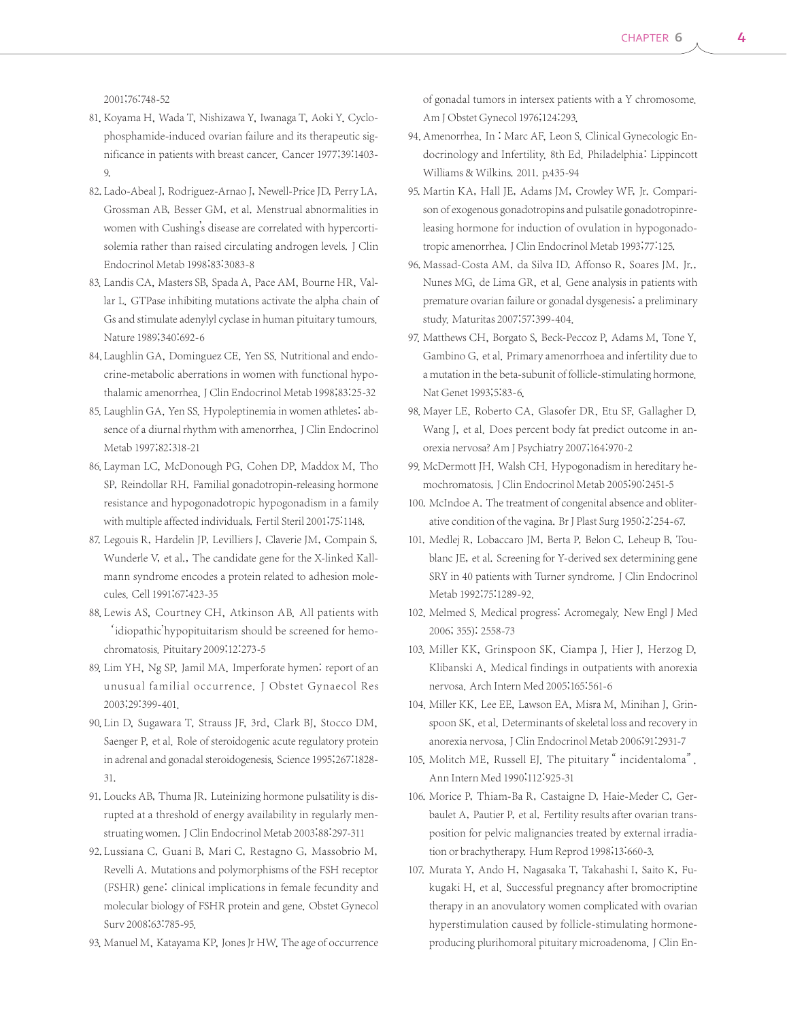2001;76:748-52

- 81. Koyama H, Wada T, Nishizawa Y, Iwanaga T, Aoki Y. Cyclophosphamide-induced ovarian failure and its therapeutic significance in patients with breast cancer. Cancer 1977;39:1403- 9.
- 82. Lado-Abeal J, Rodriguez-Arnao J, Newell-Price JD, Perry LA, Grossman AB, Besser GM, et al. Menstrual abnormalities in women with Cushing's disease are correlated with hypercortisolemia rather than raised circulating androgen levels. J Clin Endocrinol Metab 1998;83:3083-8
- 83. Landis CA, Masters SB, Spada A, Pace AM, Bourne HR, Vallar L. GTPase inhibiting mutations activate the alpha chain of Gs and stimulate adenylyl cyclase in human pituitary tumours. Nature 1989;340:692-6
- 84. Laughlin GA, Dominguez CE, Yen SS. Nutritional and endocrine-metabolic aberrations in women with functional hypothalamic amenorrhea. J Clin Endocrinol Metab 1998;83:25-32
- 85. Laughlin GA, Yen SS. Hypoleptinemia in women athletes: absence of a diurnal rhythm with amenorrhea. J Clin Endocrinol Metab 1997;82:318-21
- 86. Layman LC, McDonough PG, Cohen DP, Maddox M, Tho SP, Reindollar RH. Familial gonadotropin-releasing hormone resistance and hypogonadotropic hypogonadism in a family with multiple affected individuals. Fertil Steril 2001;75:1148.
- 87. Legouis R, Hardelin JP, Levilliers J, Claverie JM, Compain S, Wunderle V, et al., The candidate gene for the X-linked Kallmann syndrome encodes a protein related to adhesion molecules. Cell 1991;67:423-35
- 88. Lewis AS, Courtney CH, Atkinson AB. All patients with 'idiopathic'hypopituitarism should be screened for hemochromatosis. Pituitary 2009;12:273-5
- 89. Lim YH, Ng SP, Jamil MA. Imperforate hymen: report of an unusual familial occurrence. J Obstet Gynaecol Res 2003;29:399-401.
- 90. Lin D, Sugawara T, Strauss JF, 3rd, Clark BJ, Stocco DM, Saenger P, et al. Role of steroidogenic acute regulatory protein in adrenal and gonadal steroidogenesis. Science 1995;267:1828- 31.
- 91. Loucks AB, Thuma JR. Luteinizing hormone pulsatility is disrupted at a threshold of energy availability in regularly menstruating women. J Clin Endocrinol Metab 2003;88:297-311
- 92. Lussiana C, Guani B, Mari C, Restagno G, Massobrio M, Revelli A. Mutations and polymorphisms of the FSH receptor (FSHR) gene: clinical implications in female fecundity and molecular biology of FSHR protein and gene. Obstet Gynecol Surv 2008;63:785-95.
- 93. Manuel M, Katayama KP, Jones Jr HW. The age of occurrence

of gonadal tumors in intersex patients with a Y chromosome. Am J Obstet Gynecol 1976;124:293.

- 94. Amenorrhea. In : Marc AF, Leon S. Clinical Gynecologic Endocrinology and Infertility. 8th Ed. Philadelphia: Lippincott Williams & Wilkins. 2011. p.435-94
- 95. Martin KA, Hall JE, Adams JM, Crowley WF, Jr. Comparison of exogenous gonadotropins and pulsatile gonadotropinreleasing hormone for induction of ovulation in hypogonadotropic amenorrhea.J Clin Endocrinol Metab 1993;77:125.
- 96. Massad-Costa AM, da Silva ID, Affonso R, Soares JM, Jr., Nunes MG, de Lima GR, et al. Gene analysis in patients with premature ovarian failure or gonadal dysgenesis: a preliminary study. Maturitas 2007;57:399-404.
- 97. Matthews CH, Borgato S, Beck-Peccoz P, Adams M, Tone Y, Gambino G, et al. Primary amenorrhoea and infertility due to a mutation in the beta-subunit of follicle-stimulating hormone. Nat Genet 1993;5:83-6.
- 98. Mayer LE, Roberto CA, Glasofer DR, Etu SF, Gallagher D, Wang J, et al. Does percent body fat predict outcome in anorexia nervosa? Am J Psychiatry 2007;164:970-2
- 99. McDermott JH, Walsh CH. Hypogonadism in hereditary hemochromatosis.J Clin Endocrinol Metab 2005;90:2451-5
- 100. McIndoe A. The treatment of congenital absence and obliterative condition of the vagina. Br J Plast Surg 1950;2:254-67.
- 101. Medlej R, Lobaccaro JM, Berta P, Belon C, Leheup B, Toublanc JE, et al. Screening for Y-derived sex determining gene SRY in 40 patients with Turner syndrome. J Clin Endocrinol Metab 1992;75:1289-92.
- 102. Melmed S. Medical progress: Acromegaly. New Engl J Med 2006; 355): 2558-73
- 103. Miller KK, Grinspoon SK, Ciampa J, Hier J, Herzog D, Klibanski A. Medical findings in outpatients with anorexia nervosa. Arch Intern Med 2005;165:561-6
- 104. Miller KK, Lee EE, Lawson EA, Misra M, Minihan J, Grinspoon SK, et al. Determinants of skeletal loss and recovery in anorexia nervosa, J Clin Endocrinol Metab 2006;91:2931-7
- 105. Molitch ME, Russell EJ. The pituitary " incidentaloma". Ann Intern Med 1990;112:925-31
- 106. Morice P, Thiam-Ba R, Castaigne D, Haie-Meder C, Gerbaulet A, Pautier P, et al. Fertility results after ovarian transposition for pelvic malignancies treated by external irradiation or brachytherapy. Hum Reprod 1998;13:660-3.
- 107. Murata Y, Ando H, Nagasaka T, Takahashi I, Saito K, Fukugaki H, et al. Successful pregnancy after bromocriptine therapy in an anovulatory women complicated with ovarian hyperstimulation caused by follicle-stimulating hormoneproducing plurihomoral pituitary microadenoma. J Clin En-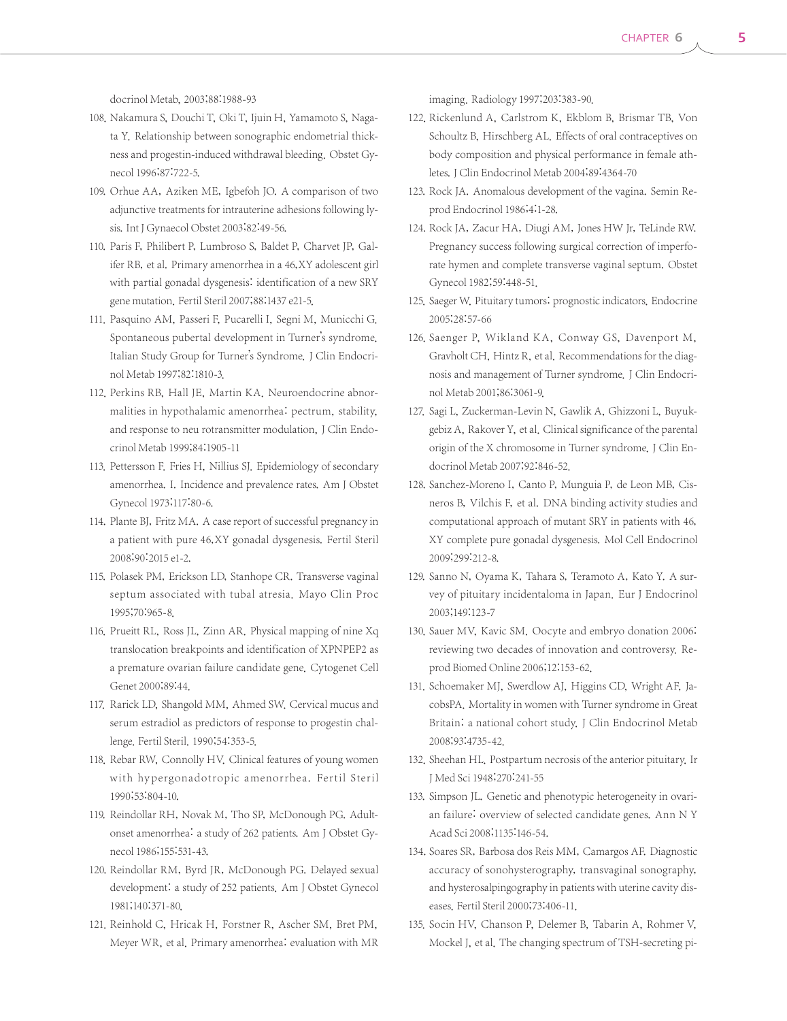docrinol Metab, 2003;88:1988-93

- 108. Nakamura S, Douchi T, Oki T, Ijuin H, Yamamoto S, Nagata Y. Relationship between sonographic endometrial thickness and progestin-induced withdrawal bleeding. Obstet Gynecol 1996;87:722-5.
- 109. Orhue AA, Aziken ME, Igbefoh JO. A comparison of two adjunctive treatments for intrauterine adhesions following lysis.Int J Gynaecol Obstet 2003;82:49-56.
- 110. Paris F, Philibert P, Lumbroso S, Baldet P, Charvet JP, Galifer RB, et al. Primary amenorrhea in a 46,XY adolescent girl with partial gonadal dysgenesis: identification of a new SRY gene mutation. Fertil Steril 2007;88:1437 e21-5.
- 111. Pasquino AM, Passeri F, Pucarelli I, Segni M, Municchi G. Spontaneous pubertal development in Turner's syndrome. Italian Study Group for Turner's Syndrome. J Clin Endocrinol Metab 1997;82:1810-3.
- 112. Perkins RB, Hall JE, Martin KA. Neuroendocrine abnormalities in hypothalamic amenorrhea: pectrum, stability, and response to neu rotransmitter modulation, J Clin Endocrinol Metab 1999;84:1905-11
- 113. Pettersson F. Fries H, Nillius SJ. Epidemiology of secondary amenorrhea. I. Incidence and prevalence rates. Am J Obstet Gynecol 1973;117:80-6.
- 114. Plante BJ, Fritz MA. A case report of successful pregnancy in a patient with pure 46,XY gonadal dysgenesis. Fertil Steril 2008;90:2015 e1-2.
- 115. Polasek PM, Erickson LD, Stanhope CR. Transverse vaginal septum associated with tubal atresia. Mayo Clin Proc 1995;70:965-8.
- 116. Prueitt RL, Ross JL, Zinn AR. Physical mapping of nine Xq translocation breakpoints and identification of XPNPEP2 as a premature ovarian failure candidate gene. Cytogenet Cell Genet 2000;89:44.
- 117. Rarick LD, Shangold MM, Ahmed SW. Cervical mucus and serum estradiol as predictors of response to progestin challenge. Fertil Steril. 1990;54:353-5.
- 118. Rebar RW, Connolly HV. Clinical features of young women with hypergonadotropic amenorrhea. Fertil Steril 1990;53:804-10.
- 119. Reindollar RH, Novak M, Tho SP, McDonough PG. Adultonset amenorrhea: a study of 262 patients. Am J Obstet Gynecol 1986;155:531-43.
- 120. Reindollar RM, Byrd JR, McDonough PG. Delayed sexual development: a study of 252 patients. Am J Obstet Gynecol 1981;140:371-80.
- 121. Reinhold C, Hricak H, Forstner R, Ascher SM, Bret PM, Meyer WR, et al. Primary amenorrhea: evaluation with MR

imaging. Radiology 1997;203:383-90.

- 122. Rickenlund A, Carlstrom K, Ekblom B, Brismar TB, Von Schoultz B, Hirschberg AL. Effects of oral contraceptives on body composition and physical performance in female athletes.J Clin Endocrinol Metab 2004;89:4364-70
- 123. Rock JA. Anomalous development of the vagina. Semin Reprod Endocrinol 1986;4:1-28.
- 124. Rock JA, Zacur HA, Diugi AM, Jones HW Jr, TeLinde RW. Pregnancy success following surgical correction of imperforate hymen and complete transverse vaginal septum. Obstet Gynecol 1982;59:448-51.
- 125. Saeger W. Pituitary tumors: prognostic indicators. Endocrine 2005;28:57-66
- 126. Saenger P, Wikland KA, Conway GS, Davenport M, Gravholt CH, Hintz R, et al. Recommendations for the diagnosis and management of Turner syndrome. J Clin Endocrinol Metab 2001;86:3061-9.
- 127. Sagi L, Zuckerman-Levin N, Gawlik A, Ghizzoni L, Buyukgebiz A, Rakover Y, et al. Clinical significance of the parental origin of the X chromosome in Turner syndrome. J Clin Endocrinol Metab 2007;92:846-52.
- 128. Sanchez-Moreno I, Canto P, Munguia P, de Leon MB, Cisneros B, Vilchis F, et al. DNA binding activity studies and computational approach of mutant SRY in patients with 46, XY complete pure gonadal dysgenesis. Mol Cell Endocrinol 2009;299:212-8.
- 129. Sanno N, Oyama K, Tahara S, Teramoto A, Kato Y. A survey of pituitary incidentaloma in Japan. Eur J Endocrinol 2003;149:123-7
- 130. Sauer MV, Kavic SM. Oocyte and embryo donation 2006: reviewing two decades of innovation and controversy. Reprod Biomed Online 2006;12:153-62.
- 131. Schoemaker MJ, Swerdlow AJ, Higgins CD, Wright AF, JacobsPA. Mortality in women with Turner syndrome in Great Britain: a national cohort study. J Clin Endocrinol Metab 2008;93:4735-42.
- 132. Sheehan HL. Postpartum necrosis of the anterior pituitary. Ir J Med Sci 1948;270:241-55
- 133. Simpson JL. Genetic and phenotypic heterogeneity in ovarian failure: overview of selected candidate genes. Ann N Y Acad Sci 2008;1135:146-54.
- 134. Soares SR, Barbosa dos Reis MM, Camargos AF. Diagnostic accuracy of sonohysterography, transvaginal sonography, and hysterosalpingography in patients with uterine cavity diseases. Fertil Steril 2000;73:406-11.
- 135. Socin HV, Chanson P, Delemer B, Tabarin A, Rohmer V, Mockel J, et al. The changing spectrum of TSH-secreting pi-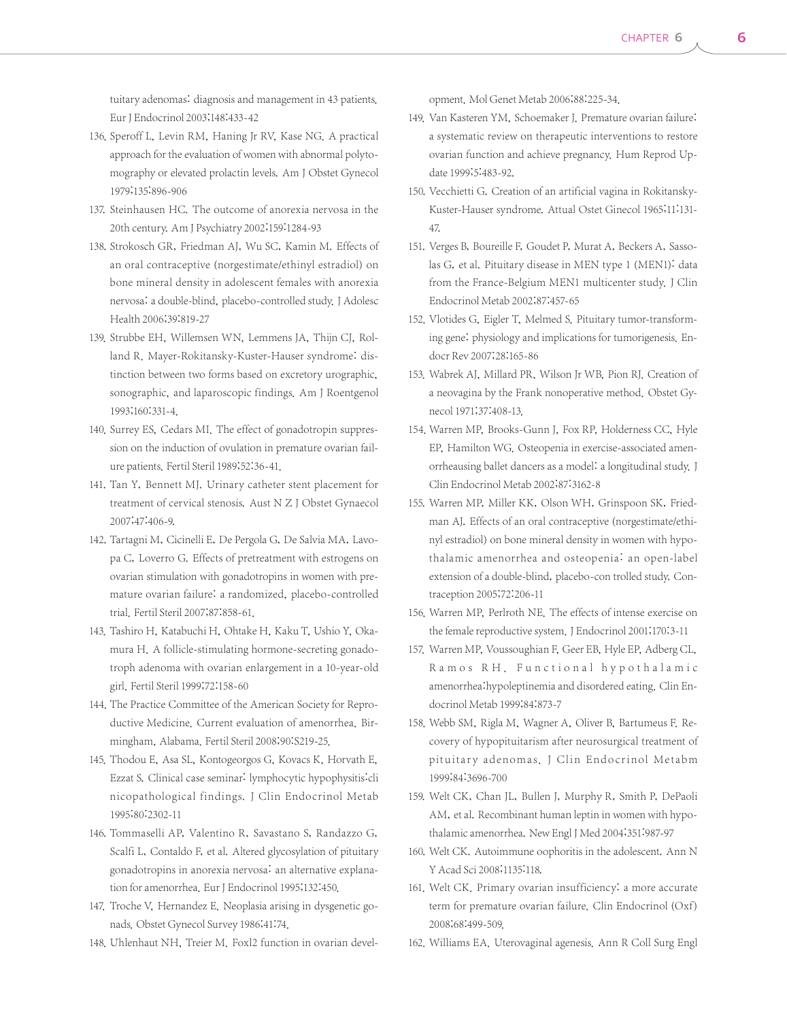tuitary adenomas: diagnosis and management in 43 patients. Eur J Endocrinol 2003;148:433-42

- 136. Speroff L, Levin RM, Haning Jr RV, Kase NG. A practical approach for the evaluation of women with abnormal polytomography or elevated prolactin levels. Am J Obstet Gynecol 1979;135:896-906
- 137. Steinhausen HC. The outcome of anorexia nervosa in the 20th century. Am J Psychiatry 2002;159:1284-93
- 138. Strokosch GR, Friedman AJ, Wu SC, Kamin M. Effects of an oral contraceptive (norgestimate/ethinyl estradiol) on bone mineral density in adolescent females with anorexia nervosa: a double-blind, placebo-controlled study. J Adolesc Health 2006;39:819-27
- 139. Strubbe EH, Willemsen WN, Lemmens JA, Thijn CJ, Rolland R. Mayer-Rokitansky-Kuster-Hauser syndrome: distinction between two forms based on excretory urographic, sonographic, and laparoscopic findings. Am J Roentgenol 1993;160:331-4.
- 140. Surrey ES, Cedars MI. The effect of gonadotropin suppression on the induction of ovulation in premature ovarian failure patients. Fertil Steril 1989;52:36-41.
- 141. Tan Y, Bennett MJ. Urinary catheter stent placement for treatment of cervical stenosis. Aust N Z J Obstet Gynaecol 2007;47:406-9.
- 142. Tartagni M, Cicinelli E, De Pergola G, De Salvia MA, Lavopa C, Loverro G. Effects of pretreatment with estrogens on ovarian stimulation with gonadotropins in women with premature ovarian failure: a randomized, placebo-controlled trial. Fertil Steril 2007;87:858-61.
- 143. Tashiro H, Katabuchi H, Ohtake H, Kaku T, Ushio Y, Okamura H. A follicle-stimulating hormone-secreting gonadotroph adenoma with ovarian enlargement in a 10-year-old girl. Fertil Steril 1999;72:158-60
- 144. The Practice Committee of the American Society for Reproductive Medicine. Current evaluation of amenorrhea. Birmingham, Alabama. Fertil Steril 2008;90:S219-25.
- 145. Thodou E, Asa SL, Kontogeorgos G, Kovacs K, Horvath E, Ezzat S. Clinical case seminar: lymphocytic hypophysitis:cli nicopathological findings. J Clin Endocrinol Metab 1995;80:2302-11
- 146. Tommaselli AP, Valentino R, Savastano S, Randazzo G, Scalfi L, Contaldo F, et al. Altered glycosylation of pituitary gonadotropins in anorexia nervosa: an alternative explanation for amenorrhea. Eur J Endocrinol 1995;132:450.
- 147. Troche V, Hernandez E. Neoplasia arising in dysgenetic gonads. Obstet Gynecol Survey 1986;41:74.
- 148. Uhlenhaut NH, Treier M. Foxl2 function in ovarian devel-

opment. Mol Genet Metab 2006;88:225-34.

- 149. Van Kasteren YM, Schoemaker J. Premature ovarian failure: a systematic review on therapeutic interventions to restore ovarian function and achieve pregnancy. Hum Reprod Update 1999;5:483-92.
- 150. Vecchietti G. Creation of an artificial vagina in Rokitansky-Kuster-Hauser syndrome. Attual Ostet Ginecol 1965;11:131- 47.
- 151. Verges B, Boureille F, Goudet P, Murat A, Beckers A, Sassolas G, et al. Pituitary disease in MEN type 1 (MEN1): data from the France-Belgium MEN1 multicenter study. J Clin Endocrinol Metab 2002;87:457-65
- 152. Vlotides G, Eigler T, Melmed S. Pituitary tumor-transforming gene: physiology and implications for tumorigenesis. Endocr Rev 2007;28:165-86
- 153. Wabrek AJ, Millard PR, Wilson Jr WB, Pion RJ. Creation of a neovagina by the Frank nonoperative method. Obstet Gynecol 1971;37:408-13.
- 154. Warren MP, Brooks-Gunn J, Fox RP, Holderness CC, Hyle EP, Hamilton WG. Osteopenia in exercise-associated amenorrheausing ballet dancers as a model: a longitudinal study. J Clin Endocrinol Metab 2002;87:3162-8
- 155. Warren MP, Miller KK, Olson WH, Grinspoon SK, Friedman AJ. Effects of an oral contraceptive (norgestimate/ethinyl estradiol) on bone mineral density in women with hypothalamic amenorrhea and osteopenia: an open-label extension of a double-blind, placebo-con trolled study. Contraception 2005;72:206-11
- 156. Warren MP, Perlroth NE. The effects of intense exercise on the female reproductive system. J Endocrinol 2001;170:3-11
- 157. Warren MP, Voussoughian F, Geer EB, Hyle EP, Adberg CL, Ramos R H . Functional hypothalamic amenorrhea:hypoleptinemia and disordered eating. Clin Endocrinol Metab 1999;84:873-7
- 158. Webb SM, Rigla M, Wagner A, Oliver B, Bartumeus F. Recovery of hypopituitarism after neurosurgical treatment of pituitary adenomas. J Clin Endocrinol Metabm 1999;84:3696-700
- 159. Welt CK, Chan JL, Bullen J, Murphy R, Smith P, DePaoli AM, et al. Recombinant human leptin in women with hypothalamic amenorrhea. New Engl J Med 2004;351:987-97
- 160. Welt CK. Autoimmune oophoritis in the adolescent. Ann N Y Acad Sci 2008;1135:118.
- 161. Welt CK. Primary ovarian insufficiency: a more accurate term for premature ovarian failure. Clin Endocrinol (Oxf) 2008;68:499-509.
- 162. Williams EA. Uterovaginal agenesis. Ann R Coll Surg Engl